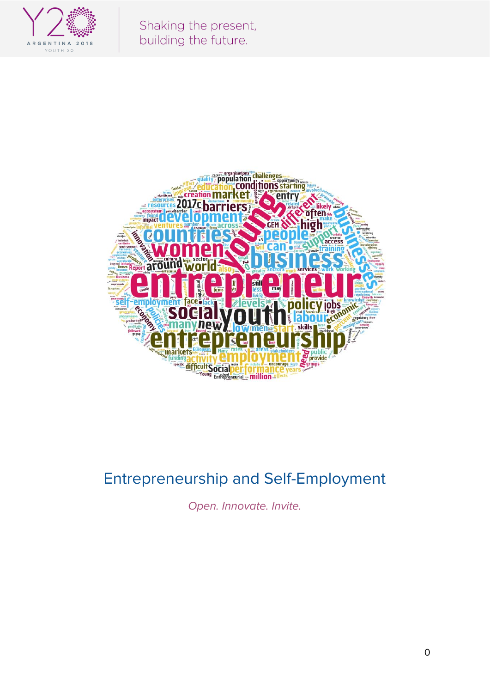

Shaking the present, building the future.



# Entrepreneurship and Self-Employment

Open. Innovate. Invite.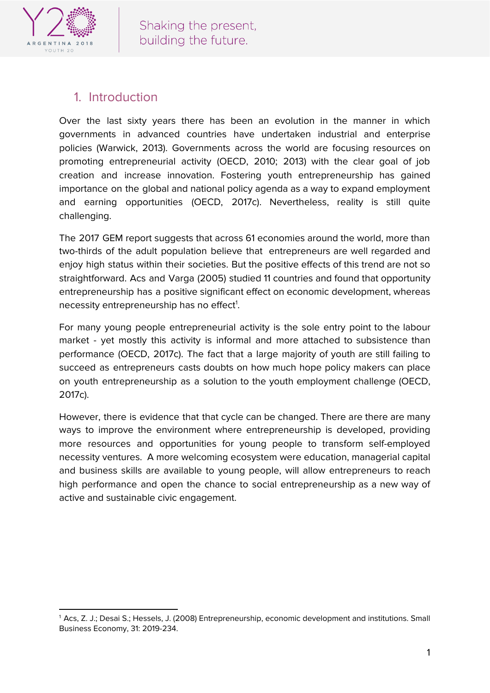

## 1. Introduction

Over the last sixty years there has been an evolution in the manner in which governments in advanced countries have undertaken industrial and enterprise policies (Warwick, 2013). Governments across the world are focusing resources on promoting entrepreneurial activity (OECD, 2010; 2013) with the clear goal of job creation and increase innovation. Fostering youth entrepreneurship has gained importance on the global and national policy agenda as a way to expand employment and earning opportunities (OECD, 2017c). Nevertheless, reality is still quite challenging.

The 2017 GEM report suggests that across 61 economies around the world, more than two-thirds of the adult population believe that entrepreneurs are well regarded and enjoy high status within their societies. But the positive effects of this trend are not so straightforward. Acs and Varga (2005) studied 11 countries and found that opportunity entrepreneurship has a positive significant effect on economic development, whereas necessity entrepreneurship has no effect<sup>1</sup>.

For many young people entrepreneurial activity is the sole entry point to the labour market - yet mostly this activity is informal and more attached to subsistence than performance (OECD, 2017c). The fact that a large majority of youth are still failing to succeed as entrepreneurs casts doubts on how much hope policy makers can place on youth entrepreneurship as a solution to the youth employment challenge (OECD, 2017c).

However, there is evidence that that cycle can be changed. There are there are many ways to improve the environment where entrepreneurship is developed, providing more resources and opportunities for young people to transform self-employed necessity ventures. A more welcoming ecosystem were education, managerial capital and business skills are available to young people, will allow entrepreneurs to reach high performance and open the chance to social entrepreneurship as a new way of active and sustainable civic engagement.

<sup>1</sup> Acs, Z. J.; Desai S.; Hessels, J. (2008) Entrepreneurship, economic development and institutions. Small Business Economy, 31: 2019-234.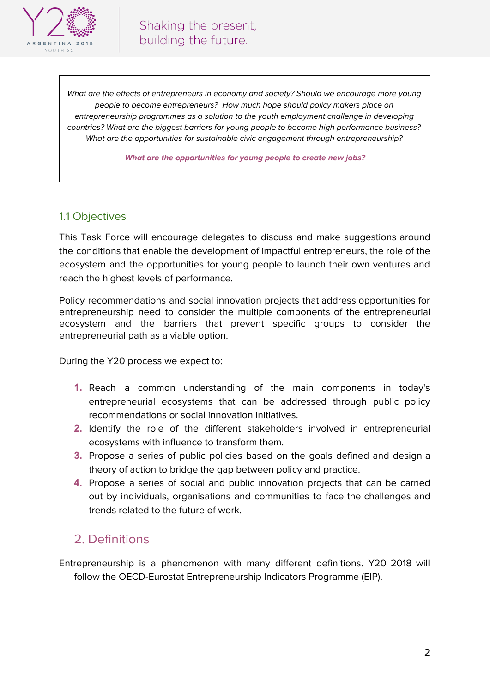

What are the effects of entrepreneurs in economy and society? Should we encourage more young people to become entrepreneurs? How much hope should policy makers place on entrepreneurship programmes as a solution to the youth employment challenge in developing countries? What are the biggest barriers for young people to become high performance business? What are the opportunities for sustainable civic engagement through entrepreneurship?

**What are the opportunities for young people to create new jobs?**

#### 1.1 Objectives

This Task Force will encourage delegates to discuss and make suggestions around the conditions that enable the development of impactful entrepreneurs, the role of the ecosystem and the opportunities for young people to launch their own ventures and reach the highest levels of performance.

Policy recommendations and social innovation projects that address opportunities for entrepreneurship need to consider the multiple components of the entrepreneurial ecosystem and the barriers that prevent specific groups to consider the entrepreneurial path as a viable option.

During the Y20 process we expect to:

- **1.** Reach a common understanding of the main components in today's entrepreneurial ecosystems that can be addressed through public policy recommendations or social innovation initiatives.
- **2.** Identify the role of the different stakeholders involved in entrepreneurial ecosystems with influence to transform them.
- **3.** Propose a series of public policies based on the goals defined and design a theory of action to bridge the gap between policy and practice.
- **4.** Propose a series of social and public innovation projects that can be carried out by individuals, organisations and communities to face the challenges and trends related to the future of work.

### 2. Definitions

Entrepreneurship is a phenomenon with many different definitions. Y20 2018 will follow the OECD-Eurostat Entrepreneurship Indicators Programme (EIP).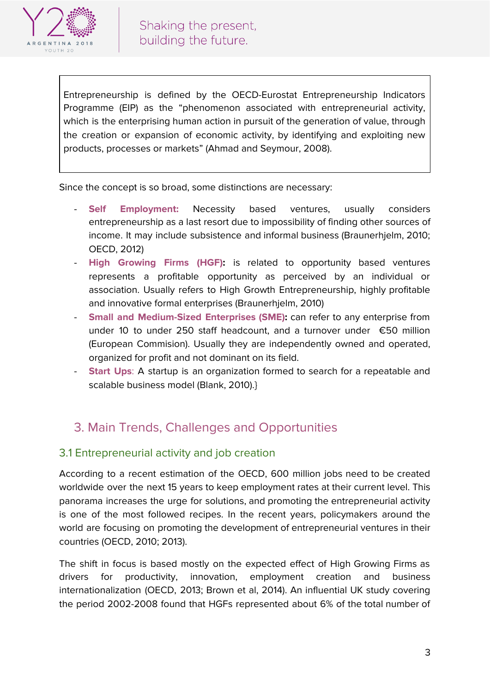

Entrepreneurship is defined by the OECD-Eurostat Entrepreneurship Indicators Programme (EIP) as the "phenomenon associated with entrepreneurial activity, which is the enterprising human action in pursuit of the generation of value, through the creation or expansion of economic activity, by identifying and exploiting new products, processes or markets" (Ahmad and Seymour, 2008).

Since the concept is so broad, some distinctions are necessary:

- **Self Employment:** Necessity based ventures, usually considers entrepreneurship as a last resort due to impossibility of finding other sources of income. It may include subsistence and informal business (Braunerhjelm, 2010; OECD, 2012)
- **High Growing Firms (HGF):** is related to opportunity based ventures represents a profitable opportunity as perceived by an individual or association. Usually refers to High Growth Entrepreneurship, highly profitable and innovative formal enterprises (Braunerhjelm, 2010)
- **Small and Medium-Sized Enterprises (SME):** can refer to any enterprise from under 10 to under 250 staff headcount, and a turnover under €50 million (European Commision). Usually they are independently owned and operated, organized for profit and not dominant on its field.
- **Start Ups:** A startup is an organization formed to search for a repeatable and scalable business model (Blank, 2010).}

# 3. Main Trends, Challenges and Opportunities

### 3.1 Entrepreneurial activity and job creation

According to a recent estimation of the OECD, 600 million jobs need to be created worldwide over the next 15 years to keep employment rates at their current level. This panorama increases the urge for solutions, and promoting the entrepreneurial activity is one of the most followed recipes. In the recent years, policymakers around the world are focusing on promoting the development of entrepreneurial ventures in their countries (OECD, 2010; 2013).

The shift in focus is based mostly on the expected effect of High Growing Firms as drivers for productivity, innovation, employment creation and business internationalization (OECD, 2013; Brown et al, 2014). An influential UK study covering the period 2002-2008 found that HGFs represented about 6% of the total number of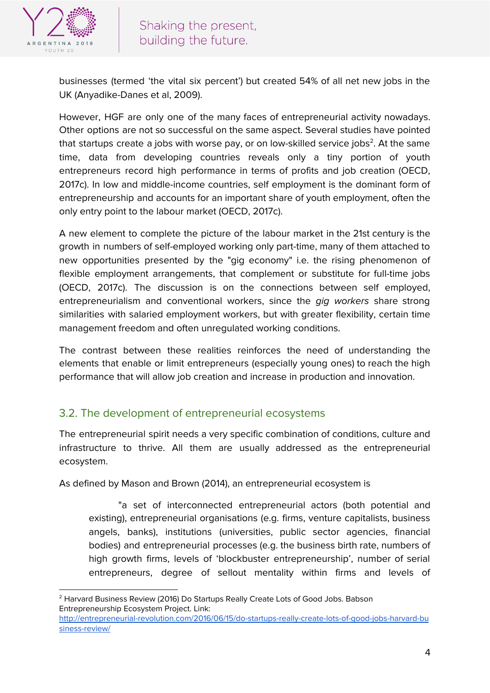

businesses (termed 'the vital six percent') but created 54% of all net new jobs in the UK (Anyadike-Danes et al, 2009).

However, HGF are only one of the many faces of entrepreneurial activity nowadays. Other options are not so successful on the same aspect. Several studies have pointed that startups create a jobs with worse pay, or on low-skilled service jobs $^2$ . At the same time, data from developing countries reveals only a tiny portion of youth entrepreneurs record high performance in terms of profits and job creation (OECD, 2017c). In low and middle-income countries, self employment is the dominant form of entrepreneurship and accounts for an important share of youth employment, often the only entry point to the labour market (OECD, 2017c).

A new element to complete the picture of the labour market in the 21st century is the growth in numbers of self-employed working only part-time, many of them attached to new opportunities presented by the "gig economy" i.e. the rising phenomenon of flexible employment arrangements, that complement or substitute for full-time jobs (OECD, 2017c). The discussion is on the connections between self employed, entrepreneurialism and conventional workers, since the gig workers share strong similarities with salaried employment workers, but with greater flexibility, certain time management freedom and often unregulated working conditions.

The contrast between these realities reinforces the need of understanding the elements that enable or limit entrepreneurs (especially young ones) to reach the high performance that will allow job creation and increase in production and innovation.

### 3.2. The development of entrepreneurial ecosystems

The entrepreneurial spirit needs a very specific combination of conditions, culture and infrastructure to thrive. All them are usually addressed as the entrepreneurial ecosystem.

As defined by Mason and Brown (2014), an entrepreneurial ecosystem is

"a set of interconnected entrepreneurial actors (both potential and existing), entrepreneurial organisations (e.g. firms, venture capitalists, business angels, banks), institutions (universities, public sector agencies, financial bodies) and entrepreneurial processes (e.g. the business birth rate, numbers of high growth firms, levels of 'blockbuster entrepreneurship', number of serial entrepreneurs, degree of sellout mentality within firms and levels of

<sup>2</sup> Harvard Business Review (2016) Do Startups Really Create Lots of Good Jobs. Babson Entrepreneurship Ecosystem Project. Link:

[http://entrepreneurial-revolution.com/2016/06/15/do-startups-really-create-lots-of-good-jobs-harvard-bu](http://entrepreneurial-revolution.com/2016/06/15/do-startups-really-create-lots-of-good-jobs-harvard-business-review/) [siness-review/](http://entrepreneurial-revolution.com/2016/06/15/do-startups-really-create-lots-of-good-jobs-harvard-business-review/)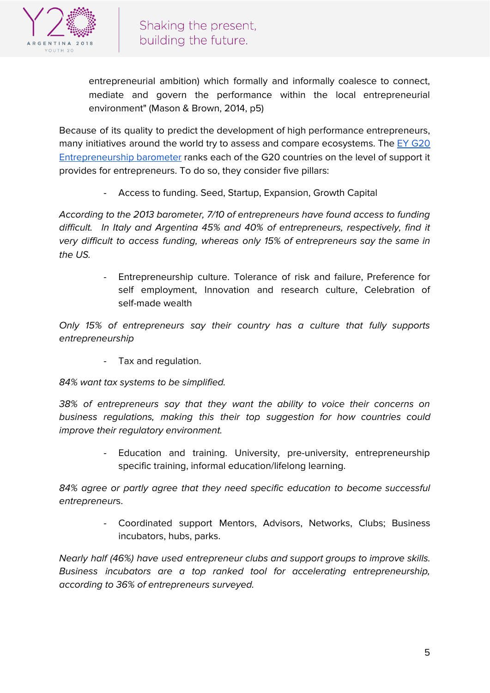

entrepreneurial ambition) which formally and informally coalesce to connect, mediate and govern the performance within the local entrepreneurial environment" (Mason & Brown, 2014, p5)

Because of its quality to predict the development of high performance entrepreneurs, many initiatives around the world try to assess and compare ecosystems. The EY [G20](https://www.g20yea.com/images/reports/EY-G20-Entrepreneurship-Barometer-2013-Report.pdf) [Entrepreneurship](https://www.g20yea.com/images/reports/EY-G20-Entrepreneurship-Barometer-2013-Report.pdf) barometer ranks each of the G20 countries on the level of support it provides for entrepreneurs. To do so, they consider five pillars:

Access to funding. Seed, Startup, Expansion, Growth Capital

According to the 2013 barometer, 7/10 of entrepreneurs have found access to funding difficult. In Italy and Argentina 45% and 40% of entrepreneurs, respectively, find it very difficult to access funding, whereas only 15% of entrepreneurs say the same in the  $\iota$  IS.

> - Entrepreneurship culture. Tolerance of risk and failure, Preference for self employment, Innovation and research culture, Celebration of self-made wealth

Only 15% of entrepreneurs say their country has a culture that fully supports entrepreneurship

- Tax and regulation.

84% want tax systems to be simplified.

38% of entrepreneurs say that they want the ability to voice their concerns on business regulations, making this their top suggestion for how countries could improve their regulatory environment.

> Education and training. University, pre-university, entrepreneurship specific training, informal education/lifelong learning.

84% agree or partly agree that they need specific education to become successful entrepreneurs.

> - Coordinated support Mentors, Advisors, Networks, Clubs; Business incubators, hubs, parks.

Nearly half (46%) have used entrepreneur clubs and support groups to improve skills. Business incubators are a top ranked tool for accelerating entrepreneurship, according to 36% of entrepreneurs surveyed.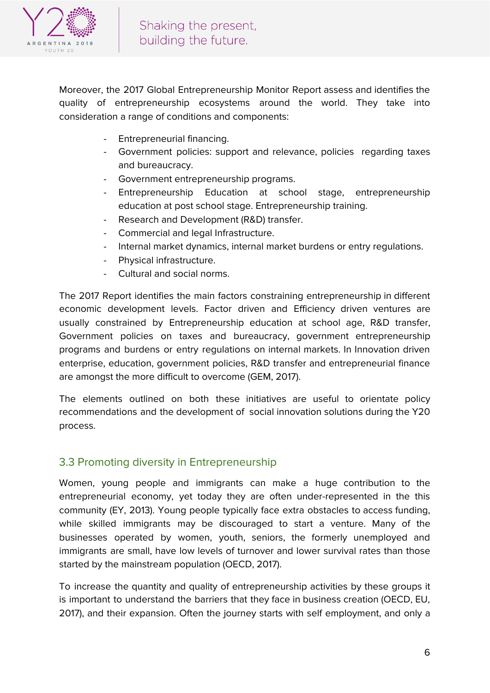

Moreover, the 2017 Global Entrepreneurship Monitor Report assess and identifies the quality of entrepreneurship ecosystems around the world. They take into consideration a range of conditions and components:

- Entrepreneurial financing.
- Government policies: support and relevance, policies regarding taxes and bureaucracy.
- Government entrepreneurship programs.
- Entrepreneurship Education at school stage, entrepreneurship education at post school stage. Entrepreneurship training.
- Research and Development (R&D) transfer.
- Commercial and legal Infrastructure.
- Internal market dynamics, internal market burdens or entry regulations.
- Physical infrastructure.
- Cultural and social norms.

The 2017 Report identifies the main factors constraining entrepreneurship in different economic development levels. Factor driven and Efficiency driven ventures are usually constrained by Entrepreneurship education at school age, R&D transfer, Government policies on taxes and bureaucracy, government entrepreneurship programs and burdens or entry regulations on internal markets. In Innovation driven enterprise, education, government policies, R&D transfer and entrepreneurial finance are amongst the more difficult to overcome (GEM, 2017).

The elements outlined on both these initiatives are useful to orientate policy recommendations and the development of social innovation solutions during the Y20 process.

#### 3.3 Promoting diversity in Entrepreneurship

Women, young people and immigrants can make a huge contribution to the entrepreneurial economy, yet today they are often under-represented in the this community (EY, 2013). Young people typically face extra obstacles to access funding, while skilled immigrants may be discouraged to start a venture. Many of the businesses operated by women, youth, seniors, the formerly unemployed and immigrants are small, have low levels of turnover and lower survival rates than those started by the mainstream population (OECD, 2017).

To increase the quantity and quality of entrepreneurship activities by these groups it is important to understand the barriers that they face in business creation (OECD, EU, 2017), and their expansion. Often the journey starts with self employment, and only a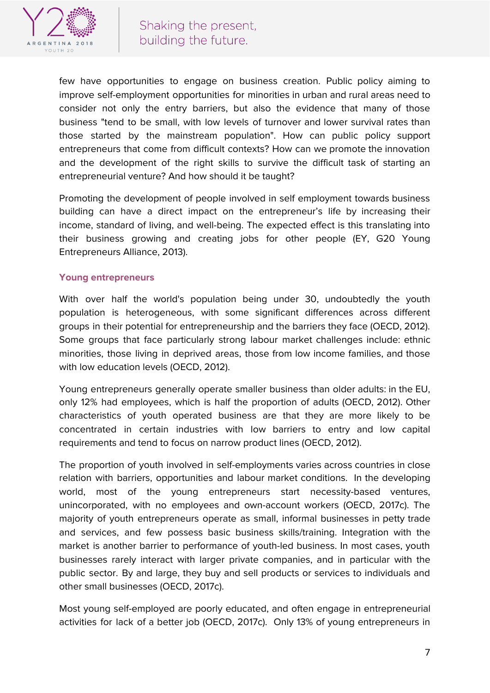

few have opportunities to engage on business creation. Public policy aiming to improve self-employment opportunities for minorities in urban and rural areas need to consider not only the entry barriers, but also the evidence that many of those business "tend to be small, with low levels of turnover and lower survival rates than those started by the mainstream population". How can public policy support entrepreneurs that come from difficult contexts? How can we promote the innovation and the development of the right skills to survive the difficult task of starting an entrepreneurial venture? And how should it be taught?

Promoting the development of people involved in self employment towards business building can have a direct impact on the entrepreneur's life by increasing their income, standard of living, and well-being. The expected effect is this translating into their business growing and creating jobs for other people (EY, G20 Young Entrepreneurs Alliance, 2013).

#### **Young entrepreneurs**

With over half the world's population being under 30, undoubtedly the youth population is heterogeneous, with some significant differences across different groups in their potential for entrepreneurship and the barriers they face (OECD, 2012). Some groups that face particularly strong labour market challenges include: ethnic minorities, those living in deprived areas, those from low income families, and those with low education levels (OECD, 2012).

Young entrepreneurs generally operate smaller business than older adults: in the EU, only 12% had employees, which is half the proportion of adults (OECD, 2012). Other characteristics of youth operated business are that they are more likely to be concentrated in certain industries with low barriers to entry and low capital requirements and tend to focus on narrow product lines (OECD, 2012).

The proportion of youth involved in self-employments varies across countries in close relation with barriers, opportunities and labour market conditions. In the developing world, most of the young entrepreneurs start necessity-based ventures, unincorporated, with no employees and own-account workers (OECD, 2017c). The majority of youth entrepreneurs operate as small, informal businesses in petty trade and services, and few possess basic business skills/training. Integration with the market is another barrier to performance of youth-led business. In most cases, youth businesses rarely interact with larger private companies, and in particular with the public sector. By and large, they buy and sell products or services to individuals and other small businesses (OECD, 2017c).

Most young self-employed are poorly educated, and often engage in entrepreneurial activities for lack of a better job (OECD, 2017c). Only 13% of young entrepreneurs in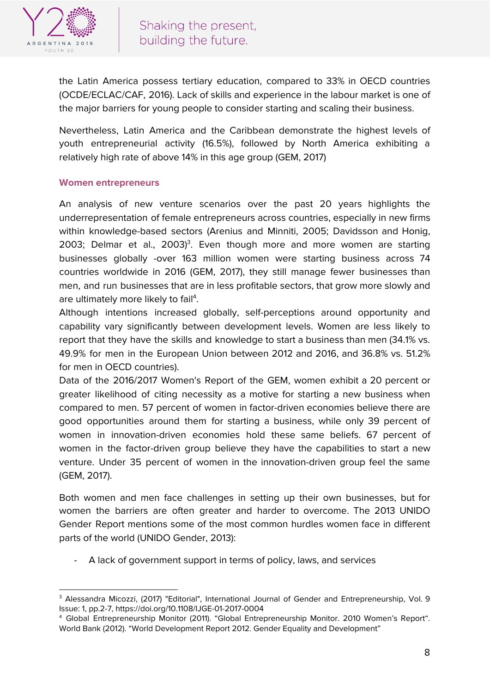

the Latin America possess tertiary education, compared to 33% in OECD countries (OCDE/ECLAC/CAF, 2016). Lack of skills and experience in the labour market is one of the major barriers for young people to consider starting and scaling their business.

Nevertheless, Latin America and the Caribbean demonstrate the highest levels of youth entrepreneurial activity (16.5%), followed by North America exhibiting a relatively high rate of above 14% in this age group (GEM, 2017)

#### **Women entrepreneurs**

An analysis of new venture scenarios over the past 20 years highlights the underrepresentation of female entrepreneurs across countries, especially in new firms within knowledge-based sectors (Arenius and Minniti, 2005; Davidsson and Honig, 2003; Delmar et al., 2003)<sup>3</sup>. Even though more and more women are starting businesses globally -over 163 million women were starting business across 74 countries worldwide in 2016 (GEM, 2017), they still manage fewer businesses than men, and run businesses that are in less profitable sectors, that grow more slowly and are ultimately more likely to fail<sup>4</sup>.

Although intentions increased globally, self-perceptions around opportunity and capability vary significantly between development levels. Women are less likely to report that they have the skills and knowledge to start a business than men (34.1% vs. 49.9% for men in the European Union between 2012 and 2016, and 36.8% vs. 51.2% for men in OECD countries).

Data of the 2016/2017 Women's Report of the GEM, women exhibit a 20 percent or greater likelihood of citing necessity as a motive for starting a new business when compared to men. 57 percent of women in factor-driven economies believe there are good opportunities around them for starting a business, while only 39 percent of women in innovation-driven economies hold these same beliefs. 67 percent of women in the factor-driven group believe they have the capabilities to start a new venture. Under 35 percent of women in the innovation-driven group feel the same (GEM, 2017).

Both women and men face challenges in setting up their own businesses, but for women the barriers are often greater and harder to overcome. The 2013 UNIDO Gender Report mentions some of the most common hurdles women face in different parts of the world (UNIDO Gender, 2013):

- A lack of government support in terms of policy, laws, and services

<sup>&</sup>lt;sup>3</sup> Alessandra Micozzi, (2017) "Editorial", International Journal of Gender and Entrepreneurship, Vol. 9 Issue: 1, pp.2-7, https://doi.org/10.1108/IJGE-01-2017-0004

<sup>4</sup> Global Entrepreneurship Monitor (2011). "Global Entrepreneurship Monitor. 2010 Women's Report". World Bank (2012). "World Development Report 2012. Gender Equality and Development"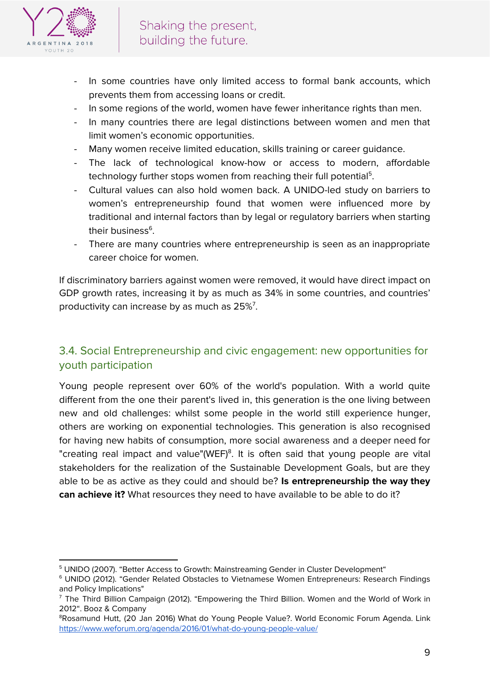

- In some countries have only limited access to formal bank accounts, which prevents them from accessing loans or credit.
- In some regions of the world, women have fewer inheritance rights than men.
- In many countries there are legal distinctions between women and men that limit women's economic opportunities.
- Many women receive limited education, skills training or career guidance.
- The lack of technological know-how or access to modern, affordable technology further stops women from reaching their full potential<sup>5</sup>.
- Cultural values can also hold women back. A UNIDO-led study on barriers to women's entrepreneurship found that women were influenced more by traditional and internal factors than by legal or regulatory barriers when starting their business<sup>6</sup>.
- There are many countries where entrepreneurship is seen as an inappropriate career choice for women.

If discriminatory barriers against women were removed, it would have direct impact on GDP growth rates, increasing it by as much as 34% in some countries, and countries' productivity can increase by as much as  $25\%$ <sup>7</sup>.

### 3.4. Social Entrepreneurship and civic engagement: new opportunities for youth participation

Young people represent over 60% of the world's population. With a world quite different from the one their parent's lived in, this generation is the one living between new and old challenges: whilst some people in the world still experience hunger, others are working on exponential technologies. This generation is also recognised for having new habits of consumption, more social awareness and a deeper need for "creating real impact and value"(WEF)<sup>8</sup>. It is often said that young people are vital stakeholders for the realization of the Sustainable Development Goals, but are they able to be as active as they could and should be? **Is entrepreneurship the way they can achieve it?** What resources they need to have available to be able to do it?

<sup>&</sup>lt;sup>5</sup> UNIDO (2007). "Better Access to Growth: Mainstreaming Gender in Cluster Development"

<sup>6</sup> UNIDO (2012). "Gender Related Obstacles to Vietnamese Women Entrepreneurs: Research Findings and Policy Implications"

<sup>&</sup>lt;sup>7</sup> The Third Billion Campaign (2012). "Empowering the Third Billion. Women and the World of Work in 2012". Booz & Company

<sup>&</sup>lt;sup>8</sup>Rosamund Hutt, (20 Jan 2016) What do Young People Value?. World Economic Forum Agenda. Link <https://www.weforum.org/agenda/2016/01/what-do-young-people-value/>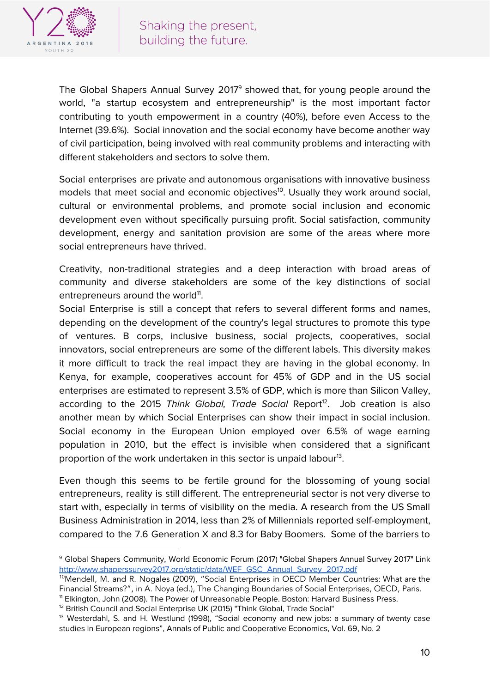

The Global Shapers Annual Survey 2017<sup>9</sup> showed that, for young people around the world, "a startup ecosystem and entrepreneurship" is the most important factor contributing to youth empowerment in a country (40%), before even Access to the Internet (39.6%). Social innovation and the social economy have become another way of civil participation, being involved with real community problems and interacting with different stakeholders and sectors to solve them.

Social enterprises are private and autonomous organisations with innovative business models that meet social and economic objectives<sup>10</sup>. Usually they work around social, cultural or environmental problems, and promote social inclusion and economic development even without specifically pursuing profit. Social satisfaction, community development, energy and sanitation provision are some of the areas where more social entrepreneurs have thrived.

Creativity, non-traditional strategies and a deep interaction with broad areas of community and diverse stakeholders are some of the key distinctions of social entrepreneurs around the world<sup>11</sup>.

Social Enterprise is still a concept that refers to several different forms and names, depending on the development of the country's legal structures to promote this type of ventures. B corps, inclusive business, social projects, cooperatives, social innovators, social entrepreneurs are some of the different labels. This diversity makes it more difficult to track the real impact they are having in the global economy. In Kenya, for example, cooperatives account for 45% of GDP and in the US social enterprises are estimated to represent 3.5% of GDP, which is more than Silicon Valley, according to the 2015 Think Global, Trade Social Report<sup>12</sup>. Job creation is also another mean by which Social Enterprises can show their impact in social inclusion. Social economy in the European Union employed over 6.5% of wage earning population in 2010, but the effect is invisible when considered that a significant proportion of the work undertaken in this sector is unpaid labour<sup>13</sup>.

Even though this seems to be fertile ground for the blossoming of young social entrepreneurs, reality is still different. The entrepreneurial sector is not very diverse to start with, especially in terms of visibility on the media. A research from the US Small Business Administration in 2014, less than 2% of Millennials reported self-employment, compared to the 7.6 Generation X and 8.3 for Baby Boomers. Some of the barriers to

<sup>9</sup> Global Shapers Community, World Economic Forum (2017) "Global Shapers Annual Survey 2017" Link [http://www.shaperssurvey2017.org/static/data/WEF\\_GSC\\_Annual\\_Survey\\_2017.pdf](http://www.shaperssurvey2017.org/static/data/WEF_GSC_Annual_Survey_2017.pdf)

<sup>&</sup>lt;sup>10</sup>Mendell, M. and R. Nogales (2009), "Social Enterprises in OECD Member Countries: What are the Financial Streams?", in A. Noya (ed.), The Changing Boundaries of Social Enterprises, OECD, Paris.

<sup>11</sup> Elkington, John (2008). The Power of Unreasonable People. Boston: Harvard Business Press.

<sup>&</sup>lt;sup>12</sup> British Council and Social Enterprise UK (2015) "Think Global, Trade Social"

<sup>&</sup>lt;sup>13</sup> Westerdahl, S. and H. Westlund (1998), "Social economy and new jobs: a summary of twenty case studies in European regions", Annals of Public and Cooperative Economics, Vol. 69, No. 2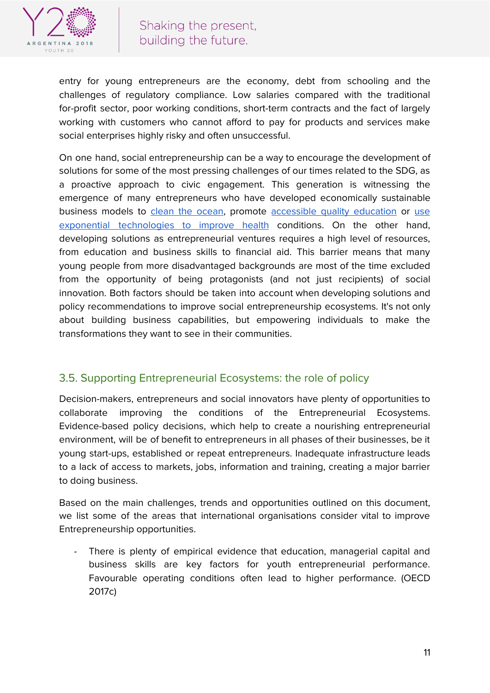

entry for young entrepreneurs are the economy, debt from schooling and the challenges of regulatory compliance. Low salaries compared with the traditional for-profit sector, poor working conditions, short-term contracts and the fact of largely working with customers who cannot afford to pay for products and services make social enterprises highly risky and often unsuccessful.

On one hand, social entrepreneurship can be a way to encourage the development of solutions for some of the most pressing challenges of our times related to the SDG, as a proactive approach to civic engagement. This generation is witnessing the emergence of many entrepreneurs who have developed economically sustainable business models to clean the [ocean,](https://www.theoceancleanup.com/) promote [accessible](https://alison.com/) quality education or [use](http://bismarcktribune.com/news/science/this-hero-doesn-t-have-a-cape-he-has-a/article_cd1b998c-ee12-5d11-978d-44db15fc7a0c.html) exponential [technologies](http://bismarcktribune.com/news/science/this-hero-doesn-t-have-a-cape-he-has-a/article_cd1b998c-ee12-5d11-978d-44db15fc7a0c.html) to improve health conditions. On the other hand, developing solutions as entrepreneurial ventures requires a high level of resources, from education and business skills to financial aid. This barrier means that many young people from more disadvantaged backgrounds are most of the time excluded from the opportunity of being protagonists (and not just recipients) of social innovation. Both factors should be taken into account when developing solutions and policy recommendations to improve social entrepreneurship ecosystems. It's not only about building business capabilities, but empowering individuals to make the transformations they want to see in their communities.

### 3.5. Supporting Entrepreneurial Ecosystems: the role of policy

Decision-makers, entrepreneurs and social innovators have plenty of opportunities to collaborate improving the conditions of the Entrepreneurial Ecosystems. Evidence-based policy decisions, which help to create a nourishing entrepreneurial environment, will be of benefit to entrepreneurs in all phases of their businesses, be it young start-ups, established or repeat entrepreneurs. Inadequate infrastructure leads to a lack of access to markets, jobs, information and training, creating a major barrier to doing business.

Based on the main challenges, trends and opportunities outlined on this document, we list some of the areas that international organisations consider vital to improve Entrepreneurship opportunities.

There is plenty of empirical evidence that education, managerial capital and business skills are key factors for youth entrepreneurial performance. Favourable operating conditions often lead to higher performance. (OECD 2017c)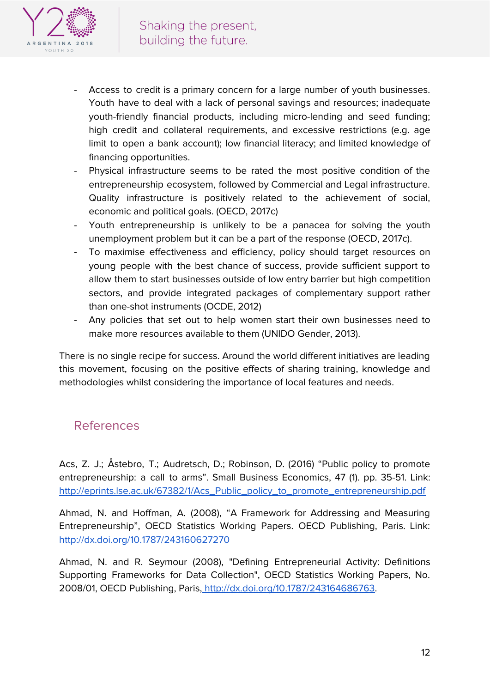

- Access to credit is a primary concern for a large number of youth businesses. Youth have to deal with a lack of personal savings and resources; inadequate youth-friendly financial products, including micro-lending and seed funding; high credit and collateral requirements, and excessive restrictions (e.g. age limit to open a bank account); low financial literacy; and limited knowledge of financing opportunities.
- Physical infrastructure seems to be rated the most positive condition of the entrepreneurship ecosystem, followed by Commercial and Legal infrastructure. Quality infrastructure is positively related to the achievement of social, economic and political goals. (OECD, 2017c)
- Youth entrepreneurship is unlikely to be a panacea for solving the youth unemployment problem but it can be a part of the response (OECD, 2017c).
- To maximise effectiveness and efficiency, policy should target resources on young people with the best chance of success, provide sufficient support to allow them to start businesses outside of low entry barrier but high competition sectors, and provide integrated packages of complementary support rather than one-shot instruments (OCDE, 2012)
- Any policies that set out to help women start their own businesses need to make more resources available to them (UNIDO Gender, 2013).

There is no single recipe for success. Around the world different initiatives are leading this movement, focusing on the positive effects of sharing training, knowledge and methodologies whilst considering the importance of local features and needs.

### References

Acs, Z. J.; Åstebro, T.; Audretsch, D.; Robinson, D. (2016) "Public policy to promote entrepreneurship: a call to arms". Small Business Economics, 47 (1). pp. 35-51. Link: [http://eprints.lse.ac.uk/67382/1/Acs\\_Public\\_policy\\_to\\_promote\\_entrepreneurship.pdf](http://eprints.lse.ac.uk/67382/1/Acs_Public_policy_to_promote_entrepreneurship.pdf)

Ahmad, N. and Hoffman, A. (2008), "A Framework for Addressing and Measuring Entrepreneurship", OECD Statistics Working Papers. OECD Publishing, Paris. Link[:](http://dx.doi.org/10.1787/243160627270) <http://dx.doi.org/10.1787/243160627270>

Ahmad, N. and R. Seymour (2008), "Defining Entrepreneurial Activity: Definitions Supporting Frameworks for Data Collection", OECD Statistics Working Papers, No. 2008/01, OECD Publishing, Paris, <http://dx.doi.org/10.1787/243164686763>.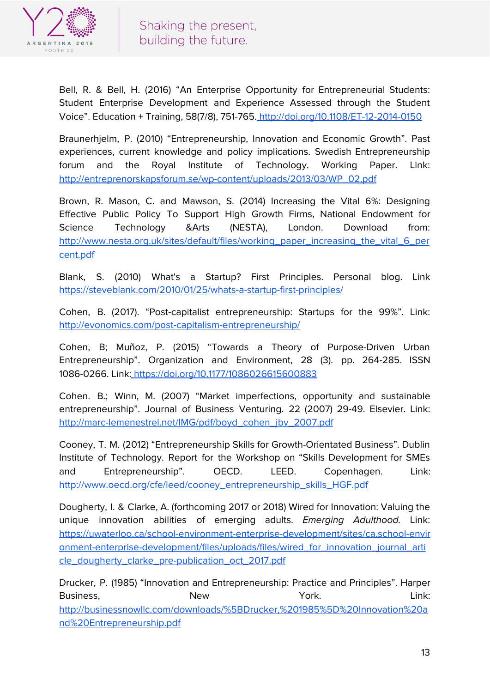

Bell, R. & Bell, H. (2016) "An Enterprise Opportunity for Entrepreneurial Students: Student Enterprise Development and Experience Assessed through the Student Voice". Education + Training, 58(7/8), 751-765. <http://doi.org/10.1108/ET-12-2014-0150>

Braunerhjelm, P. (2010) "Entrepreneurship, Innovation and Economic Growth". Past experiences, current knowledge and policy implications. Swedish Entrepreneurship forum and the Royal Institute of Technology. Working Paper. Link[:](http://entreprenorskapsforum.se/wp-content/uploads/2013/03/WP_02.pdf) [http://entreprenorskapsforum.se/wp-content/uploads/2013/03/WP\\_02.pdf](http://entreprenorskapsforum.se/wp-content/uploads/2013/03/WP_02.pdf)

Brown, R. Mason, C. and Mawson, S. (2014) Increasing the Vital 6%: Designing Effective Public Policy To Support High Growth Firms, National Endowment for Science Technology &Arts (NESTA), London. Download from: [http://www.nesta.org.uk/sites/default/files/working\\_paper\\_increasing\\_the\\_vital\\_6\\_per](http://www.nesta.org.uk/sites/default/files/working_paper_increasing_the_vital_6_percent.pdf) [cent.pdf](http://www.nesta.org.uk/sites/default/files/working_paper_increasing_the_vital_6_percent.pdf)

Blank, S. (2010) What's a Startup? First Principles. Personal blog. Link <https://steveblank.com/2010/01/25/whats-a-startup-first-principles/>

Cohen, B. (2017). "Post-capitalist entrepreneurship: Startups for the 99%". Link[:](http://evonomics.com/post-capitalism-entrepreneurship/) <http://evonomics.com/post-capitalism-entrepreneurship/>

Cohen, B; Muñoz, P. (2015) "Towards a Theory of Purpose-Driven Urban Entrepreneurship". Organization and Environment, 28 (3). pp. 264-285. ISSN 1086-0266. Link: <https://doi.org/10.1177/1086026615600883>

Cohen. B.; Winn, M. (2007) "Market imperfections, opportunity and sustainable entrepreneurship". Journal of Business Venturing. 22 (2007) 29-49. Elsevier. Link[:](http://marc-lemenestrel.net/IMG/pdf/boyd_cohen_jbv_2007.pdf) [http://marc-lemenestrel.net/IMG/pdf/boyd\\_cohen\\_jbv\\_2007.pdf](http://marc-lemenestrel.net/IMG/pdf/boyd_cohen_jbv_2007.pdf)

Cooney, T. M. (2012) "Entrepreneurship Skills for Growth-Orientated Business". Dublin Institute of Technology. Report for the Workshop on "Skills Development for SMEs and Entrepreneurship". OECD. LEED. Copenhagen. Link: [http://www.oecd.org/cfe/leed/cooney\\_entrepreneurship\\_skills\\_HGF.pdf](http://www.oecd.org/cfe/leed/cooney_entrepreneurship_skills_HGF.pdf)

Dougherty, I. & Clarke, A. (forthcoming 2017 or 2018) Wired for Innovation: Valuing the unique innovation abilities of emerging adults. Emerging Adulthood. Link: [https://uwaterloo.ca/school-environment-enterprise-development/sites/ca.school-envir](https://uwaterloo.ca/school-environment-enterprise-development/sites/ca.school-environment-enterprise-development/files/uploads/files/wired_for_innovation_journal_article_dougherty_clarke_pre-publication_oct_2017.pdf) [onment-enterprise-development/files/uploads/files/wired\\_for\\_innovation\\_journal\\_arti](https://uwaterloo.ca/school-environment-enterprise-development/sites/ca.school-environment-enterprise-development/files/uploads/files/wired_for_innovation_journal_article_dougherty_clarke_pre-publication_oct_2017.pdf) [cle\\_dougherty\\_clarke\\_pre-publication\\_oct\\_2017.pdf](https://uwaterloo.ca/school-environment-enterprise-development/sites/ca.school-environment-enterprise-development/files/uploads/files/wired_for_innovation_journal_article_dougherty_clarke_pre-publication_oct_2017.pdf)

Drucker, P. (1985) "Innovation and Entrepreneurship: Practice and Principles". Harper Business, New York. Link: [http://businessnowllc.com/downloads/%5BDrucker,%201985%5D%20Innovation%20a](http://businessnowllc.com/downloads/%5BDrucker,%201985%5D%20Innovation%20and%20Entrepreneurship.pdf) [nd%20Entrepreneurship.pdf](http://businessnowllc.com/downloads/%5BDrucker,%201985%5D%20Innovation%20and%20Entrepreneurship.pdf)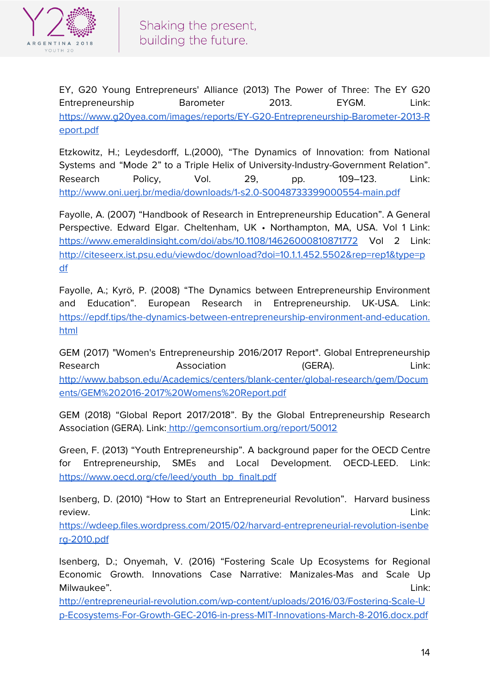

EY, G20 Young Entrepreneurs' Alliance (2013) The Power of Three: The EY G20 Entrepreneurship Barometer 2013. EYGM. Link: [https://www.g20yea.com/images/reports/EY-G20-Entrepreneurship-Barometer-2013-R](https://www.g20yea.com/images/reports/EY-G20-Entrepreneurship-Barometer-2013-Report.pdf) [eport.pdf](https://www.g20yea.com/images/reports/EY-G20-Entrepreneurship-Barometer-2013-Report.pdf)

Etzkowitz, H.; Leydesdorff, L.(2000), "The Dynamics of Innovation: from National Systems and "Mode 2" to a Triple Helix of University-Industry-Government Relation". Research Policy, Vol. 29, pp. 109–123. Link[:](http://www.oni.uerj.br/media/downloads/1-s2.0-S0048733399000554-main.pdf) <http://www.oni.uerj.br/media/downloads/1-s2.0-S0048733399000554-main.pdf>

Fayolle, A. (2007) "Handbook of Research in Entrepreneurship Education". A General Perspective. Edward Elgar. Cheltenham, UK • Northampton, MA, USA. Vol 1 Link: <https://www.emeraldinsight.com/doi/abs/10.1108/14626000810871772> Vol 2 Link: [http://citeseerx.ist.psu.edu/viewdoc/download?doi=10.1.1.452.5502&rep=rep1&type=p](http://citeseerx.ist.psu.edu/viewdoc/download?doi=10.1.1.452.5502&rep=rep1&type=pdf) [df](http://citeseerx.ist.psu.edu/viewdoc/download?doi=10.1.1.452.5502&rep=rep1&type=pdf)

Fayolle, A.; Kyrö, P. (2008) "The Dynamics between Entrepreneurship Environment and Education". European Research in Entrepreneurship. UK-USA. Link: [https://epdf.tips/the-dynamics-between-entrepreneurship-environment-and-education.](https://epdf.tips/the-dynamics-between-entrepreneurship-environment-and-education.html) [html](https://epdf.tips/the-dynamics-between-entrepreneurship-environment-and-education.html)

GEM (2017) "Women's Entrepreneurship 2016/2017 Report". Global Entrepreneurship Research **Association** (GERA). Link: [http://www.babson.edu/Academics/centers/blank-center/global-research/gem/Docum](http://www.babson.edu/Academics/centers/blank-center/global-research/gem/Documents/GEM%202016-2017%20Womens%20Report.pdf) [ents/GEM%202016-2017%20Womens%20Report.pdf](http://www.babson.edu/Academics/centers/blank-center/global-research/gem/Documents/GEM%202016-2017%20Womens%20Report.pdf)

GEM (2018) "Global Report 2017/2018". By the Global Entrepreneurship Research Association (GERA). Link: <http://gemconsortium.org/report/50012>

Green, F. (2013) "Youth Entrepreneurship". A background paper for the OECD Centre for Entrepreneurship, SMEs and Local Development. OECD-LEED. Link[:](https://www.oecd.org/cfe/leed/youth_bp_finalt.pdf) [https://www.oecd.org/cfe/leed/youth\\_bp\\_finalt.pdf](https://www.oecd.org/cfe/leed/youth_bp_finalt.pdf)

Isenberg, D. (2010) "How to Start an Entrepreneurial Revolution". Harvard business review. Link:

[https://wdeep.files.wordpress.com/2015/02/harvard-entrepreneurial-revolution-isenbe](https://wdeep.files.wordpress.com/2015/02/harvard-entrepreneurial-revolution-isenberg-2010.pdf) [rg-2010.pdf](https://wdeep.files.wordpress.com/2015/02/harvard-entrepreneurial-revolution-isenberg-2010.pdf)

Isenberg, D.; Onyemah, V. (2016) "Fostering Scale Up Ecosystems for Regional Economic Growth. Innovations Case Narrative: Manizales-Mas and Scale Up Milwaukee". Link:

[http://entrepreneurial-revolution.com/wp-content/uploads/2016/03/Fostering-Scale-U](http://entrepreneurial-revolution.com/wp-content/uploads/2016/03/Fostering-Scale-Up-Ecosystems-For-Growth-GEC-2016-in-press-MIT-Innovations-March-8-2016.docx.pdf) [p-Ecosystems-For-Growth-GEC-2016-in-press-MIT-Innovations-March-8-2016.docx.pdf](http://entrepreneurial-revolution.com/wp-content/uploads/2016/03/Fostering-Scale-Up-Ecosystems-For-Growth-GEC-2016-in-press-MIT-Innovations-March-8-2016.docx.pdf)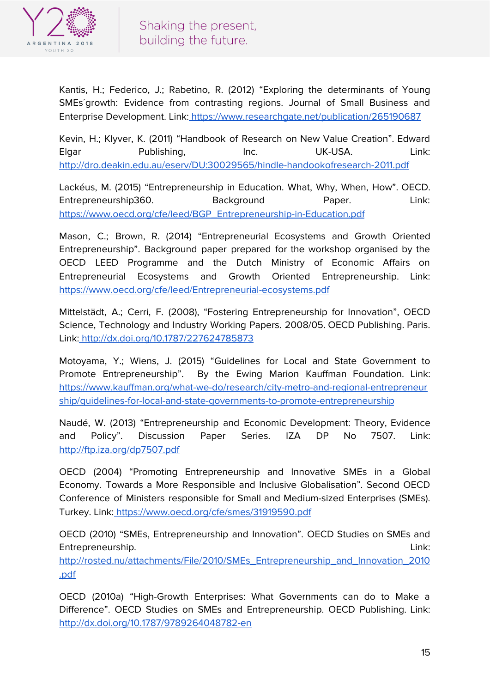

Kantis, H.; Federico, J.; Rabetino, R. (2012) "Exploring the determinants of Young SMEs´growth: Evidence from contrasting regions. Journal of Small Business and Enterprise Development. Link: <https://www.researchgate.net/publication/265190687>

Kevin, H.; Klyver, K. (2011) "Handbook of Research on New Value Creation". Edward Elgar Publishing, Inc. UK-USA. Link[:](http://dro.deakin.edu.au/eserv/DU:30029565/hindle-handookofresearch-2011.pdf) <http://dro.deakin.edu.au/eserv/DU:30029565/hindle-handookofresearch-2011.pdf>

Lackéus, M. (2015) "Entrepreneurship in Education. What, Why, When, How". OECD. Entrepreneurship360. Background Paper. Link[:](https://www.oecd.org/cfe/leed/BGP_Entrepreneurship-in-Education.pdf) [https://www.oecd.org/cfe/leed/BGP\\_Entrepreneurship-in-Education.pdf](https://www.oecd.org/cfe/leed/BGP_Entrepreneurship-in-Education.pdf)

Mason, C.; Brown, R. (2014) "Entrepreneurial Ecosystems and Growth Oriented Entrepreneurship". Background paper prepared for the workshop organised by the OECD LEED Programme and the Dutch Ministry of Economic Affairs on Entrepreneurial Ecosystems and Growth Oriented Entrepreneurship. Link: <https://www.oecd.org/cfe/leed/Entrepreneurial-ecosystems.pdf>

Mittelstädt, A.; Cerri, F. (2008), "Fostering Entrepreneurship for Innovation", OECD Science, Technology and Industry Working Papers. 2008/05. OECD Publishing. Paris. Link: <http://dx.doi.org/10.1787/227624785873>

Motoyama, Y.; Wiens, J. (2015) "Guidelines for Local and State Government to Promote Entrepreneurship". By the Ewing Marion Kauffman Foundation. Link: [https://www.kauffman.org/what-we-do/research/city-metro-and-regional-entrepreneur](https://www.kauffman.org/what-we-do/research/city-metro-and-regional-entrepreneurship/guidelines-for-local-and-state-governments-to-promote-entrepreneurship) [ship/guidelines-for-local-and-state-governments-to-promote-entrepreneurship](https://www.kauffman.org/what-we-do/research/city-metro-and-regional-entrepreneurship/guidelines-for-local-and-state-governments-to-promote-entrepreneurship)

Naudé, W. (2013) "Entrepreneurship and Economic Development: Theory, Evidence and Policy". Discussion Paper Series. IZA DP No 7507. Link: <http://ftp.iza.org/dp7507.pdf>

OECD (2004) "Promoting Entrepreneurship and Innovative SMEs in a Global Economy. Towards a More Responsible and Inclusive Globalisation". Second OECD Conference of Ministers responsible for Small and Medium-sized Enterprises (SMEs). Turkey. Link: <https://www.oecd.org/cfe/smes/31919590.pdf>

OECD (2010) "SMEs, Entrepreneurship and Innovation". OECD Studies on SMEs and Entrepreneurship. Link:

[http://rosted.nu/attachments/File/2010/SMEs\\_Entrepreneurship\\_and\\_Innovation\\_2010](http://rosted.nu/attachments/File/2010/SMEs_Entrepreneurship_and_Innovation_2010.pdf) [.pdf](http://rosted.nu/attachments/File/2010/SMEs_Entrepreneurship_and_Innovation_2010.pdf)

OECD (2010a) "High-Growth Enterprises: What Governments can do to Make a Difference". OECD Studies on SMEs and Entrepreneurship. OECD Publishing. Link: <http://dx.doi.org/10.1787/9789264048782-en>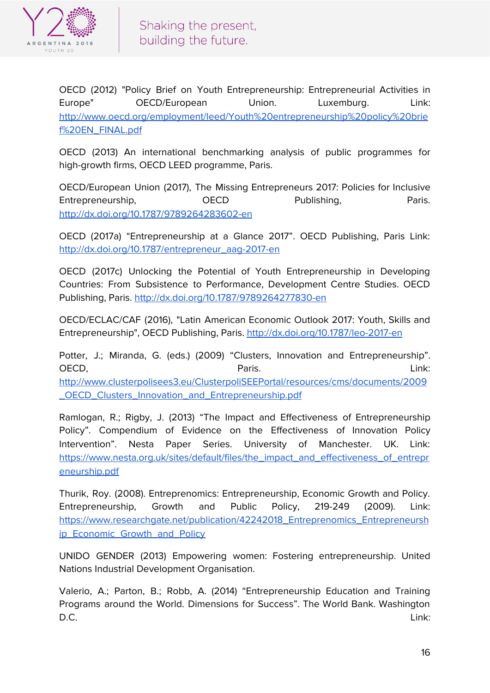

OECD (2012) "Policy Brief on Youth Entrepreneurship: Entrepreneurial Activities in Europe" OECD/European Union. Luxemburg. Link: [http://www.oecd.org/employment/leed/Youth%20entrepreneurship%20policy%20brie](http://www.oecd.org/employment/leed/Youth%20entrepreneurship%20policy%20brief%20EN_FINAL.pdf) [f%20EN\\_FINAL.pdf](http://www.oecd.org/employment/leed/Youth%20entrepreneurship%20policy%20brief%20EN_FINAL.pdf)

OECD (2013) An international benchmarking analysis of public programmes for high-growth firms, OECD LEED programme, Paris.

OECD/European Union (2017), The Missing Entrepreneurs 2017: Policies for Inclusive Entrepreneurship, CECD Publishing, Paris. [http://dx.doi.org/10.1787/9789264283602-en](http://dx.doi.org/10.1787/9789264283602-e)

OECD (2017a) "Entrepreneurship at a Glance 2017". OECD Publishing, Paris Link[:](http://dx.doi.org/10.1787/entrepreneur_aag-2017-en) [http://dx.doi.org/10.1787/entrepreneur\\_aag-2017-en](http://dx.doi.org/10.1787/entrepreneur_aag-2017-en)

OECD (2017c) Unlocking the Potential of Youth Entrepreneurship in Developing Countries: From Subsistence to Performance, Development Centre Studies. OECD Publishing, Paris. <http://dx.doi.org/10.1787/9789264277830-en>

OECD/ECLAC/CAF (2016), "Latin American Economic Outlook 2017: Youth, Skills and Entrepreneurship", OECD Publishing, Paris. <http://dx.doi.org/10.1787/leo-2017-en>

Potter, J.; Miranda, G. (eds.) (2009) "Clusters, Innovation and Entrepreneurship". OECD, Paris. Link: [http://www.clusterpolisees3.eu/ClusterpoliSEEPortal/resources/cms/documents/2009](http://www.clusterpolisees3.eu/ClusterpoliSEEPortal/resources/cms/documents/2009_OECD_Clusters_Innovation_and_Entrepreneurship.pdf) [\\_OECD\\_Clusters\\_Innovation\\_and\\_Entrepreneurship.pdf](http://www.clusterpolisees3.eu/ClusterpoliSEEPortal/resources/cms/documents/2009_OECD_Clusters_Innovation_and_Entrepreneurship.pdf)

Ramlogan, R.; Rigby, J. (2013) "The Impact and Effectiveness of Entrepreneurship Policy". Compendium of Evidence on the Effectiveness of Innovation Policy Intervention". Nesta Paper Series. University of Manchester. UK. Link[:](https://www.nesta.org.uk/sites/default/files/the_impact_and_effectiveness_of_entrepreneurship.pdf) [https://www.nesta.org.uk/sites/default/files/the\\_impact\\_and\\_effectiveness\\_of\\_entrepr](https://www.nesta.org.uk/sites/default/files/the_impact_and_effectiveness_of_entrepreneurship.pdf) [eneurship.pdf](https://www.nesta.org.uk/sites/default/files/the_impact_and_effectiveness_of_entrepreneurship.pdf)

Thurik, Roy. (2008). Entreprenomics: Entrepreneurship, Economic Growth and Policy. Entrepreneurship, Growth and Public Policy, 219-249 (2009). Link: [https://www.researchgate.net/publication/42242018\\_Entreprenomics\\_Entrepreneursh](https://www.researchgate.net/publication/42242018_Entreprenomics_Entrepreneurship_Economic_Growth_and_Policy) [ip\\_Economic\\_Growth\\_and\\_Policy](https://www.researchgate.net/publication/42242018_Entreprenomics_Entrepreneurship_Economic_Growth_and_Policy)

UNIDO GENDER (2013) Empowering women: Fostering entrepreneurship. United Nations Industrial Development Organisation.

Valerio, A.; Parton, B.; Robb, A. (2014) "Entrepreneurship Education and Training Programs around the World. Dimensions for Success". The World Bank. Washington D.C. Link: